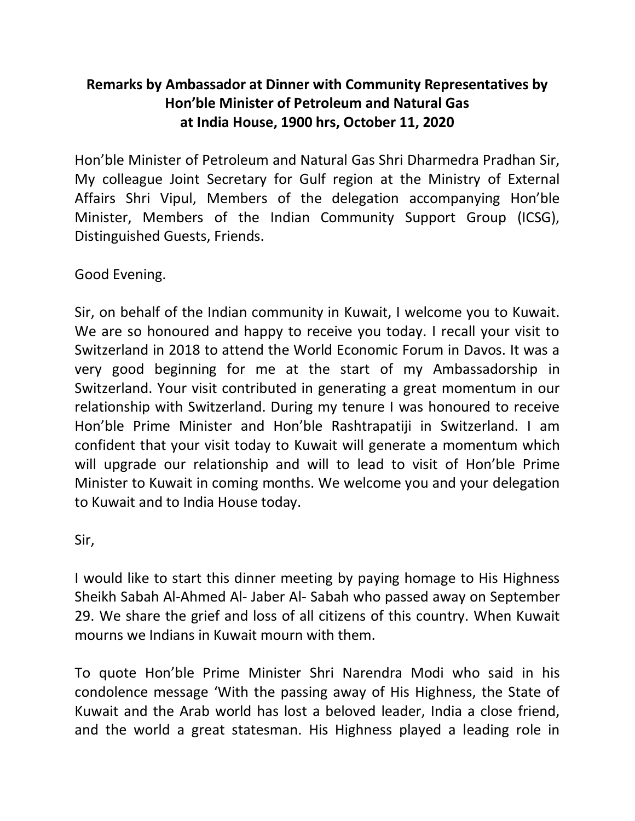## **Remarks by Ambassador at Dinner with Community Representatives by Hon'ble Minister of Petroleum and Natural Gas at India House, 1900 hrs, October 11, 2020**

Hon'ble Minister of Petroleum and Natural Gas Shri Dharmedra Pradhan Sir, My colleague Joint Secretary for Gulf region at the Ministry of External Affairs Shri Vipul, Members of the delegation accompanying Hon'ble Minister, Members of the Indian Community Support Group (ICSG), Distinguished Guests, Friends.

Good Evening.

Sir, on behalf of the Indian community in Kuwait, I welcome you to Kuwait. We are so honoured and happy to receive you today. I recall your visit to Switzerland in 2018 to attend the World Economic Forum in Davos. It was a very good beginning for me at the start of my Ambassadorship in Switzerland. Your visit contributed in generating a great momentum in our relationship with Switzerland. During my tenure I was honoured to receive Hon'ble Prime Minister and Hon'ble Rashtrapatiji in Switzerland. I am confident that your visit today to Kuwait will generate a momentum which will upgrade our relationship and will to lead to visit of Hon'ble Prime Minister to Kuwait in coming months. We welcome you and your delegation to Kuwait and to India House today.

Sir,

I would like to start this dinner meeting by paying homage to His Highness Sheikh Sabah Al-Ahmed Al- Jaber Al- Sabah who passed away on September 29. We share the grief and loss of all citizens of this country. When Kuwait mourns we Indians in Kuwait mourn with them.

To quote Hon'ble Prime Minister Shri Narendra Modi who said in his condolence message 'With the passing away of His Highness, the State of Kuwait and the Arab world has lost a beloved leader, India a close friend, and the world a great statesman. His Highness played a leading role in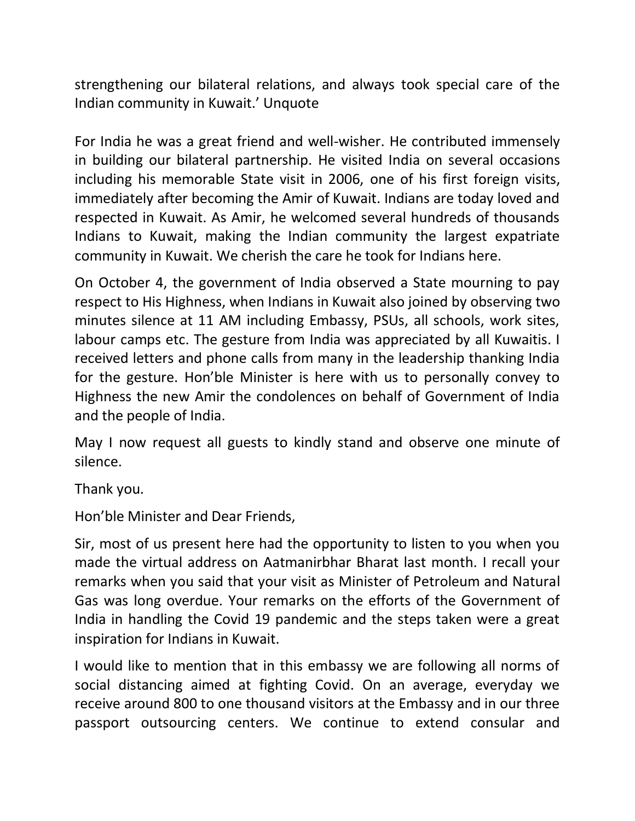strengthening our bilateral relations, and always took special care of the Indian community in Kuwait.' Unquote

For India he was a great friend and well-wisher. He contributed immensely in building our bilateral partnership. He visited India on several occasions including his memorable State visit in 2006, one of his first foreign visits, immediately after becoming the Amir of Kuwait. Indians are today loved and respected in Kuwait. As Amir, he welcomed several hundreds of thousands Indians to Kuwait, making the Indian community the largest expatriate community in Kuwait. We cherish the care he took for Indians here.

On October 4, the government of India observed a State mourning to pay respect to His Highness, when Indians in Kuwait also joined by observing two minutes silence at 11 AM including Embassy, PSUs, all schools, work sites, labour camps etc. The gesture from India was appreciated by all Kuwaitis. I received letters and phone calls from many in the leadership thanking India for the gesture. Hon'ble Minister is here with us to personally convey to Highness the new Amir the condolences on behalf of Government of India and the people of India.

May I now request all guests to kindly stand and observe one minute of silence.

Thank you.

Hon'ble Minister and Dear Friends,

Sir, most of us present here had the opportunity to listen to you when you made the virtual address on Aatmanirbhar Bharat last month. I recall your remarks when you said that your visit as Minister of Petroleum and Natural Gas was long overdue. Your remarks on the efforts of the Government of India in handling the Covid 19 pandemic and the steps taken were a great inspiration for Indians in Kuwait.

I would like to mention that in this embassy we are following all norms of social distancing aimed at fighting Covid. On an average, everyday we receive around 800 to one thousand visitors at the Embassy and in our three passport outsourcing centers. We continue to extend consular and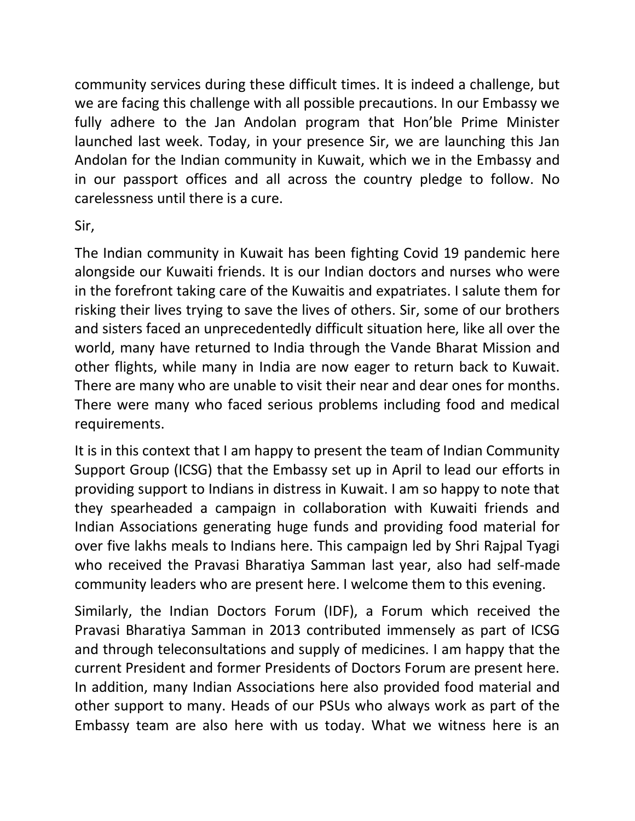community services during these difficult times. It is indeed a challenge, but we are facing this challenge with all possible precautions. In our Embassy we fully adhere to the Jan Andolan program that Hon'ble Prime Minister launched last week. Today, in your presence Sir, we are launching this Jan Andolan for the Indian community in Kuwait, which we in the Embassy and in our passport offices and all across the country pledge to follow. No carelessness until there is a cure.

## Sir,

The Indian community in Kuwait has been fighting Covid 19 pandemic here alongside our Kuwaiti friends. It is our Indian doctors and nurses who were in the forefront taking care of the Kuwaitis and expatriates. I salute them for risking their lives trying to save the lives of others. Sir, some of our brothers and sisters faced an unprecedentedly difficult situation here, like all over the world, many have returned to India through the Vande Bharat Mission and other flights, while many in India are now eager to return back to Kuwait. There are many who are unable to visit their near and dear ones for months. There were many who faced serious problems including food and medical requirements.

It is in this context that I am happy to present the team of Indian Community Support Group (ICSG) that the Embassy set up in April to lead our efforts in providing support to Indians in distress in Kuwait. I am so happy to note that they spearheaded a campaign in collaboration with Kuwaiti friends and Indian Associations generating huge funds and providing food material for over five lakhs meals to Indians here. This campaign led by Shri Rajpal Tyagi who received the Pravasi Bharatiya Samman last year, also had self-made community leaders who are present here. I welcome them to this evening.

Similarly, the Indian Doctors Forum (IDF), a Forum which received the Pravasi Bharatiya Samman in 2013 contributed immensely as part of ICSG and through teleconsultations and supply of medicines. I am happy that the current President and former Presidents of Doctors Forum are present here. In addition, many Indian Associations here also provided food material and other support to many. Heads of our PSUs who always work as part of the Embassy team are also here with us today. What we witness here is an